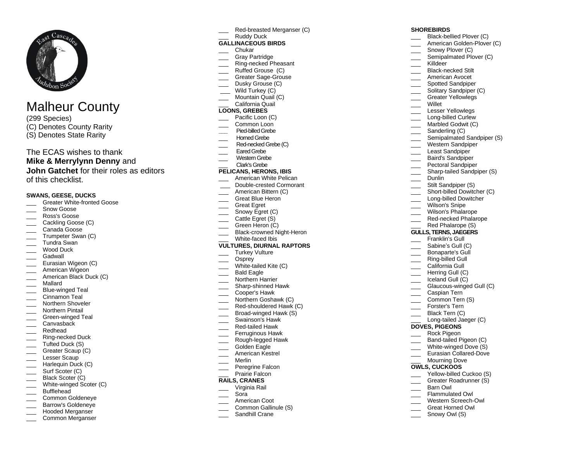

# Malheur County

(299 Species) (C) Denotes County Rarity (S) Denotes State Rarity

# The ECAS wishes to thank **Mike & Merrylynn Denny** and **John Gatchet** for their roles as editors of this checklist.

#### **SWANS, GEESE, DUCKS**

- Greater White-fronted Goose
- Snow Goose
- \_\_\_ Ross's Goose
- Cackling Goose (C)
- Canada Goose
- \_\_\_ Trumpeter Swan (C)
- Tundra Swan
- Wood Duck Gadwall
- 
- **Eurasian Wigeon (C)** American Wigeon
- \_\_\_ American Black Duck (C)
- \_\_\_ Mallard
- \_\_\_ Blue-winged Teal
- Cinnamon Teal
- Northern Shoveler
- Northern Pintail
- 
- \_\_\_ Green-winged Teal **Canvasback**
- \_\_\_ Redhead
- Ring-necked Duck
- Tufted Duck (S)
- Greater Scaup (C)
- Lesser Scaup
- Harlequin Duck (C)
- \_\_\_\_ Surf Scoter (C)
- Black Scoter (C)
- White-winged Scoter (C)
- Bufflehead
- \_\_\_ Common Goldeneye
- \_\_\_ Barrow's Goldeneye
- \_\_\_ Hooded Merganser Common Merganser
- Red-breasted Merganser (C)
- \_\_\_ Ruddy Duck

## **GALLINACEOUS BIRDS**

- \_\_\_ Chukar
- Grav Partridge
- \_\_\_ Ring-necked Pheasant
- Ruffed Grouse (C)
- Greater Sage-Grouse
- Dusky Grouse (C)
- Wild Turkey (C)
- Mountain Quail (C) California Quail

# **LOONS, GREBES**

- Pacific Loon (C)
- Common Loon
- **\_\_\_** Pied-billed Grebe
- Horned Grebe
- Red-necked Grebe (C)
- Fared Grebe
- Western Grebe
- \_\_\_ Clark's Grebe

## **PELICANS, HERONS, IBIS**

- American White Pelican
- Double-crested Cormorant
- American Bittern (C)
- Great Blue Heron
- \_\_\_ Great Egret
- Snowy Egret (C)
- Cattle Egret (S)
- Green Heron (C)
- Black-crowned Night-Heron
- White-faced Ibis

## **VULTURES, DIURNAL RAPTORS**

- Turkey Vulture
- Osprey
- White-tailed Kite (C)
- Bald Eagle
- Northern Harrier
- \_\_\_ Sharp-shinned Hawk
- \_\_\_ Cooper's Hawk
- Northern Goshawk (C)
- Red-shouldered Hawk (C)
- Broad-winged Hawk (S)
- Swainson's Hawk
- \_\_\_ Red-tailed Hawk
- Ferruginous Hawk
- \_\_\_ Rough-legged Hawk
- Golden Eagle
- American Kestrel
- \_\_\_ Merlin
- \_\_\_ Peregrine Falcon Prairie Falcon

# **RAILS, CRANES**

- \_\_\_ Virginia Rail
- \_\_\_ Sora
- 
- American Coot Common Gallinule (S)
- Sandhill Crane

## **SHOREBIRDS**

- Black-bellied Plover (C)
- American Golden-Plover (C)

Solitary Sandpiper (C) \_\_\_ Greater Yellowlegs

Lesser Yellowlegs Long-billed Curlew Marbled Godwit (C) Sanderling (C) Semipalmated Sandpiper (S) Western Sandpiper Least Sandpiper Baird's Sandpiper Pectoral Sandpiper Sharp-tailed Sandpiper (S)

Stilt Sandpiper (S) Short-billed Dowitcher (C) Long-billed Dowitcher Wilson's Snipe Wilson's Phalarope Red-necked Phalarope Red Phalarope (S) **GULLS, TERNS, JAEGERS** Franklin's Gull Sabine's Gull (C) \_\_\_ Bonaparte's Gull Ring-billed Gull California Gull Herring Gull (C) Iceland Gull (C)

Glaucous-winged Gull (C)

Long-tailed Jaeger (C)

Band-tailed Pigeon (C) \_\_\_ White-winged Dove (S) Eurasian Collared-Dove Mourning Dove **OWLS, CUCKOOS**

> Yellow-billed Cuckoo (S) Greater Roadrunner (S)

Caspian Tern Common Tern (S) Forster's Tern \_\_\_ Black Tern (C)

**DOVES, PIGEONS** Rock Pigeon

\_\_\_ Barn Owl \_\_\_ Flammulated Owl \_\_\_ Western Screech-Owl \_\_\_ Great Horned Owl Snowy Owl (S)

- Snowy Plover (C)
- Semipalmated Plover (C)
- Killdeer
- \_\_\_ Black-necked Stilt

\_\_\_ Willet

Dunlin

American Avocet \_\_\_\_ Spotted Sandpiper